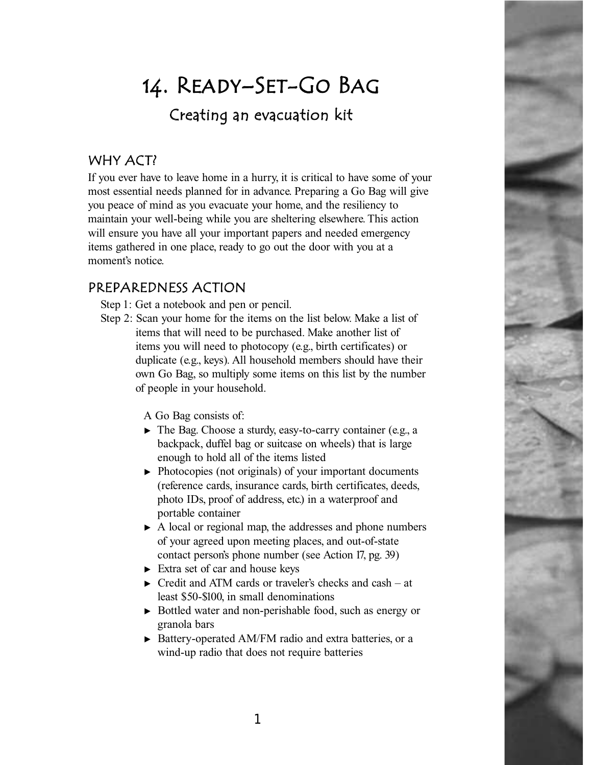# 14. Ready–Set-Go Bag Creating an evacuation kit

## WHY ACT?

If you ever have to leave home in a hurry, it is critical to have some of your most essential needs planned for in advance. Preparing a Go Bag will give you peace of mind as you evacuate your home, and the resiliency to maintain your well-being while you are sheltering elsewhere. This action will ensure you have all your important papers and needed emergency items gathered in one place, ready to go out the door with you at a moment's notice.

## PREPAREDNESS ACTION

Step 1: Get a notebook and pen or pencil.

Step 2: Scan your home for the items on the list below. Make a list of items that will need to be purchased. Make another list of items you will need to photocopy (e.g., birth certificates) or duplicate (e.g., keys). All household members should have their own Go Bag, so multiply some items on this list by the number of people in your household.

A Go Bag consists of:

- $\blacktriangleright$  The Bag. Choose a sturdy, easy-to-carry container (e.g., a backpack, duffel bag or suitcase on wheels) that is large enough to hold all of the items listed
- $\triangleright$  Photocopies (not originals) of your important documents (reference cards, insurance cards, birth certificates, deeds, photo IDs, proof of address, etc.) in a waterproof and portable container
- $\triangleright$  A local or regional map, the addresses and phone numbers of your agreed upon meeting places, and out-of-state contact person's phone number (see Action 17, pg. 39)
- $\triangleright$  Extra set of car and house keys
- $\triangleright$  Credit and ATM cards or traveler's checks and cash at least \$50-\$100, in small denominations
- <sup>❿</sup> Bottled water and non-perishable food, such as energy or granola bars
- ▶ Battery-operated AM/FM radio and extra batteries, or a wind-up radio that does not require batteries